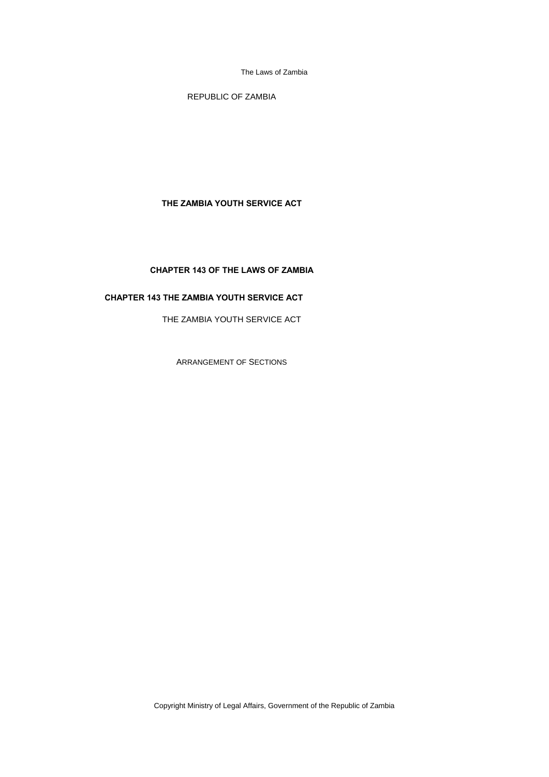REPUBLIC OF ZAMBIA

## **THE ZAMBIA YOUTH SERVICE ACT**

# **CHAPTER 143 OF THE LAWS OF ZAMBIA**

# **CHAPTER 143 THE ZAMBIA YOUTH SERVICE ACT**

THE ZAMBIA YOUTH SERVICE ACT

ARRANGEMENT OF SECTIONS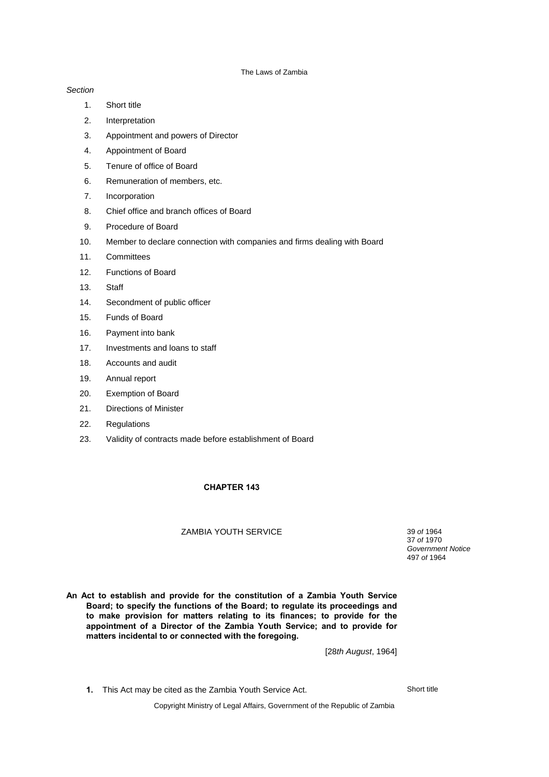### *Section*

- 1. Short title
- 2. Interpretation
- 3. Appointment and powers of Director
- 4. Appointment of Board
- 5. Tenure of office of Board
- 6. Remuneration of members, etc.
- 7. Incorporation
- 8. Chief office and branch offices of Board
- 9. Procedure of Board
- 10. Member to declare connection with companies and firms dealing with Board
- 11. Committees
- 12. Functions of Board
- 13. Staff
- 14. Secondment of public officer
- 15. Funds of Board
- 16. Payment into bank
- 17. Investments and loans to staff
- 18. Accounts and audit
- 19. Annual report
- 20. Exemption of Board
- 21. Directions of Minister
- 22. Regulations
- 23. Validity of contracts made before establishment of Board

## **CHAPTER 143**

## ZAMBIA YOUTH SERVICE 39 *of* 1964

37 *of* 1970 *Government Notice* 497 *of* 1964

**An Act to establish and provide for the constitution of a Zambia Youth Service Board; to specify the functions of the Board; to regulate its proceedings and to make provision for matters relating to its finances; to provide for the appointment of a Director of the Zambia Youth Service; and to provide for matters incidental to or connected with the foregoing.**

[28*th August*, 1964]

**1.** This Act may be cited as the Zambia Youth Service Act. Short title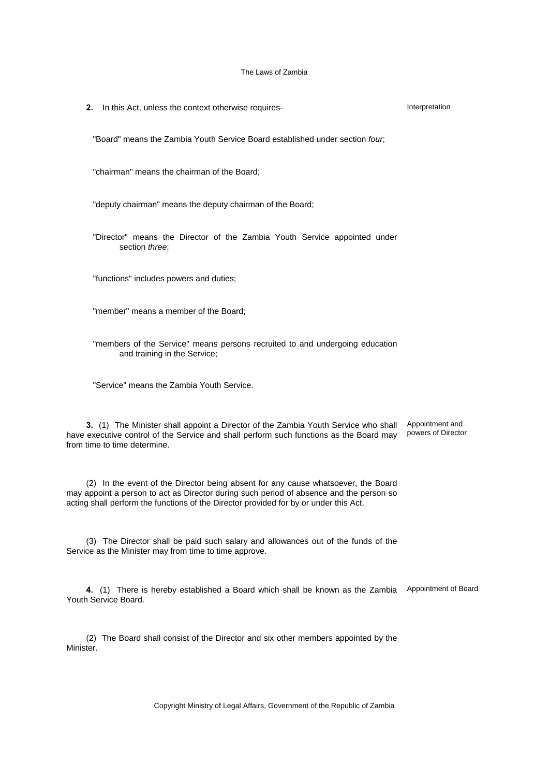**2.** In this Act, unless the context otherwise requires- **Interpretation** Interpretation

"Board" means the Zambia Youth Service Board established under section *four*;

"chairman" means the chairman of the Board;

"deputy chairman" means the deputy chairman of the Board;

"Director" means the Director of the Zambia Youth Service appointed under section *three*;

"functions" includes powers and duties;

"member" means a member of the Board;

"members of the Service" means persons recruited to and undergoing education and training in the Service;

"Service" means the Zambia Youth Service.

**3.** (1) The Minister shall appoint a Director of the Zambia Youth Service who shall Appointment and have executive control of the Service and shall perform such functions as the Board may from time to time determine. powers of Director

(2) In the event of the Director being absent for any cause whatsoever, the Board may appoint a person to act as Director during such period of absence and the person so acting shall perform the functions of the Director provided for by or under this Act.

(3) The Director shall be paid such salary and allowances out of the funds of the Service as the Minister may from time to time approve.

4. (1) There is hereby established a Board which shall be known as the Zambia Appointment of Board Youth Service Board.

(2) The Board shall consist of the Director and six other members appointed by the Minister.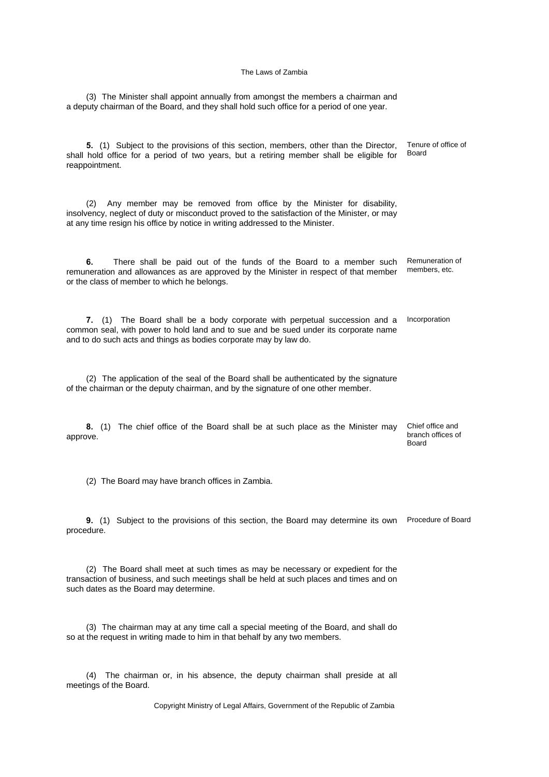(3) The Minister shall appoint annually from amongst the members a chairman and a deputy chairman of the Board, and they shall hold such office for a period of one year.

**5.** (1) Subject to the provisions of this section, members, other than the Director, shall hold office for a period of two years, but a retiring member shall be eligible for reappointment. Tenure of office of Board (2) Any member may be removed from office by the Minister for disability, insolvency, neglect of duty or misconduct proved to the satisfaction of the Minister, or may at any time resign his office by notice in writing addressed to the Minister. **6.** There shall be paid out of the funds of the Board to a member such remuneration and allowances as are approved by the Minister in respect of that member or the class of member to which he belongs. Remuneration of members, etc. **7.** (1) The Board shall be a body corporate with perpetual succession and a common seal, with power to hold land and to sue and be sued under its corporate name and to do such acts and things as bodies corporate may by law do. Incorporation (2) The application of the seal of the Board shall be authenticated by the signature of the chairman or the deputy chairman, and by the signature of one other member. **8.** (1) The chief office of the Board shall be at such place as the Minister may approve. Chief office and branch offices of Board (2) The Board may have branch offices in Zambia. **9.** (1) Subject to the provisions of this section, the Board may determine its own Procedure of Board procedure. (2) The Board shall meet at such times as may be necessary or expedient for the transaction of business, and such meetings shall be held at such places and times and on such dates as the Board may determine. (3) The chairman may at any time call a special meeting of the Board, and shall do so at the request in writing made to him in that behalf by any two members. (4) The chairman or, in his absence, the deputy chairman shall preside at all

meetings of the Board.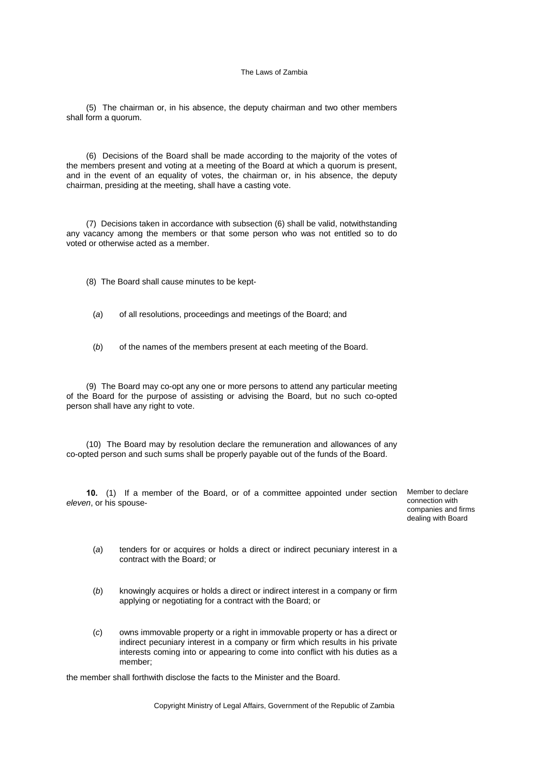(5) The chairman or, in his absence, the deputy chairman and two other members shall form a quorum.

(6) Decisions of the Board shall be made according to the majority of the votes of the members present and voting at a meeting of the Board at which a quorum is present, and in the event of an equality of votes, the chairman or, in his absence, the deputy chairman, presiding at the meeting, shall have a casting vote.

(7) Decisions taken in accordance with subsection (6) shall be valid, notwithstanding any vacancy among the members or that some person who was not entitled so to do voted or otherwise acted as a member.

(8) The Board shall cause minutes to be kept-

- (*a*) of all resolutions, proceedings and meetings of the Board; and
- (*b*) of the names of the members present at each meeting of the Board.

(9) The Board may co-opt any one or more persons to attend any particular meeting of the Board for the purpose of assisting or advising the Board, but no such co-opted person shall have any right to vote.

(10) The Board may by resolution declare the remuneration and allowances of any co-opted person and such sums shall be properly payable out of the funds of the Board.

**10.** (1) If a member of the Board, or of a committee appointed under section *eleven*, or his spouse-

Member to declare connection with companies and firms dealing with Board

- (*a*) tenders for or acquires or holds a direct or indirect pecuniary interest in a contract with the Board; or
- (*b*) knowingly acquires or holds a direct or indirect interest in a company or firm applying or negotiating for a contract with the Board; or
- (*c*) owns immovable property or a right in immovable property or has a direct or indirect pecuniary interest in a company or firm which results in his private interests coming into or appearing to come into conflict with his duties as a member;

the member shall forthwith disclose the facts to the Minister and the Board.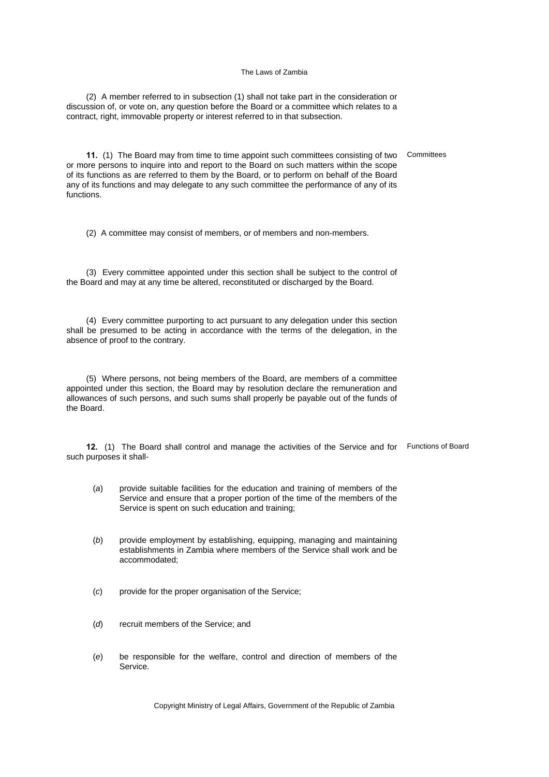(2) A member referred to in subsection (1) shall not take part in the consideration or discussion of, or vote on, any question before the Board or a committee which relates to a contract, right, immovable property or interest referred to in that subsection.

**11.** (1) The Board may from time to time appoint such committees consisting of two Committees or more persons to inquire into and report to the Board on such matters within the scope of its functions as are referred to them by the Board, or to perform on behalf of the Board any of its functions and may delegate to any such committee the performance of any of its functions.

(2) A committee may consist of members, or of members and non-members.

(3) Every committee appointed under this section shall be subject to the control of the Board and may at any time be altered, reconstituted or discharged by the Board.

(4) Every committee purporting to act pursuant to any delegation under this section shall be presumed to be acting in accordance with the terms of the delegation, in the absence of proof to the contrary.

(5) Where persons, not being members of the Board, are members of a committee appointed under this section, the Board may by resolution declare the remuneration and allowances of such persons, and such sums shall properly be payable out of the funds of the Board.

**12.** (1) The Board shall control and manage the activities of the Service and for Functions of Board such purposes it shall-

- (*a*) provide suitable facilities for the education and training of members of the Service and ensure that a proper portion of the time of the members of the Service is spent on such education and training;
- (*b*) provide employment by establishing, equipping, managing and maintaining establishments in Zambia where members of the Service shall work and be accommodated;
- (*c*) provide for the proper organisation of the Service;
- (*d*) recruit members of the Service; and
- (*e*) be responsible for the welfare, control and direction of members of the Service.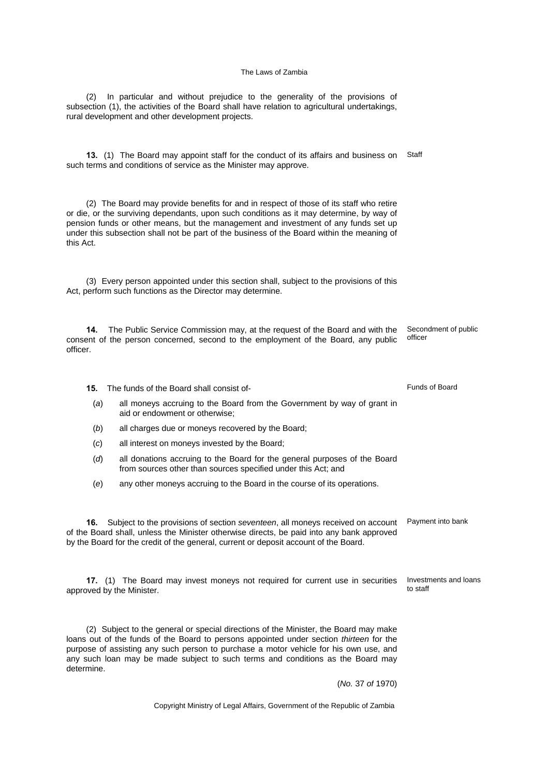(2) In particular and without prejudice to the generality of the provisions of subsection (1), the activities of the Board shall have relation to agricultural undertakings, rural development and other development projects.

**13.** (1) The Board may appoint staff for the conduct of its affairs and business on Staff such terms and conditions of service as the Minister may approve.

(2) The Board may provide benefits for and in respect of those of its staff who retire or die, or the surviving dependants, upon such conditions as it may determine, by way of pension funds or other means, but the management and investment of any funds set up under this subsection shall not be part of the business of the Board within the meaning of this Act.

(3) Every person appointed under this section shall, subject to the provisions of this Act, perform such functions as the Director may determine.

**14.** The Public Service Commission may, at the request of the Board and with the consent of the person concerned, second to the employment of the Board, any public officer. Secondment of public officer

**15.** The funds of the Board shall consist of-

approved by the Minister.

determine.

- (*a*) all moneys accruing to the Board from the Government by way of grant in aid or endowment or otherwise;
- (*b*) all charges due or moneys recovered by the Board;
- (*c*) all interest on moneys invested by the Board;
- (*d*) all donations accruing to the Board for the general purposes of the Board from sources other than sources specified under this Act; and
- (*e*) any other moneys accruing to the Board in the course of its operations.

of the Board shall, unless the Minister otherwise directs, be paid into any bank approved

by the Board for the credit of the general, current or deposit account of the Board.

Funds of Board

**17.** (1) The Board may invest moneys not required for current use in securities Investments and loans

to staff

(2) Subject to the general or special directions of the Minister, the Board may make loans out of the funds of the Board to persons appointed under section *thirteen* for the purpose of assisting any such person to purchase a motor vehicle for his own use, and

any such loan may be made subject to such terms and conditions as the Board may

(*No.* 37 *of* 1970)

Copyright Ministry of Legal Affairs, Government of the Republic of Zambia

**16.** Subject to the provisions of section *seventeen*, all moneys received on account Payment into bank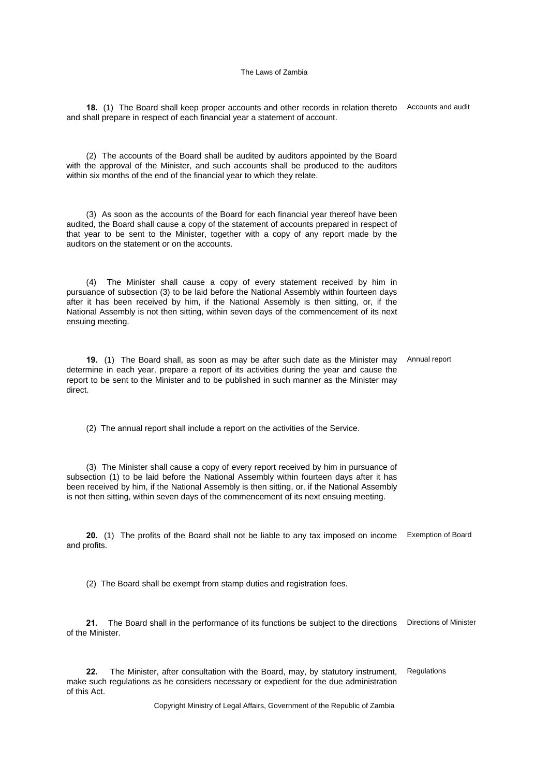**18.** (1) The Board shall keep proper accounts and other records in relation thereto Accounts and audit and shall prepare in respect of each financial year a statement of account.

(2) The accounts of the Board shall be audited by auditors appointed by the Board with the approval of the Minister, and such accounts shall be produced to the auditors within six months of the end of the financial year to which they relate.

(3) As soon as the accounts of the Board for each financial year thereof have been audited, the Board shall cause a copy of the statement of accounts prepared in respect of that year to be sent to the Minister, together with a copy of any report made by the auditors on the statement or on the accounts.

(4) The Minister shall cause a copy of every statement received by him in pursuance of subsection (3) to be laid before the National Assembly within fourteen days after it has been received by him, if the National Assembly is then sitting, or, if the National Assembly is not then sitting, within seven days of the commencement of its next ensuing meeting.

**19.** (1) The Board shall, as soon as may be after such date as the Minister may determine in each year, prepare a report of its activities during the year and cause the report to be sent to the Minister and to be published in such manner as the Minister may direct. Annual report

(2) The annual report shall include a report on the activities of the Service.

(3) The Minister shall cause a copy of every report received by him in pursuance of subsection (1) to be laid before the National Assembly within fourteen days after it has been received by him, if the National Assembly is then sitting, or, if the National Assembly is not then sitting, within seven days of the commencement of its next ensuing meeting.

**20.** (1) The profits of the Board shall not be liable to any tax imposed on income Exemption of Board and profits.

(2) The Board shall be exempt from stamp duties and registration fees.

**21.** The Board shall in the performance of its functions be subject to the directions Directions of Minister of the Minister.

**22.** The Minister, after consultation with the Board, may, by statutory instrument, make such regulations as he considers necessary or expedient for the due administration of this Act. Regulations